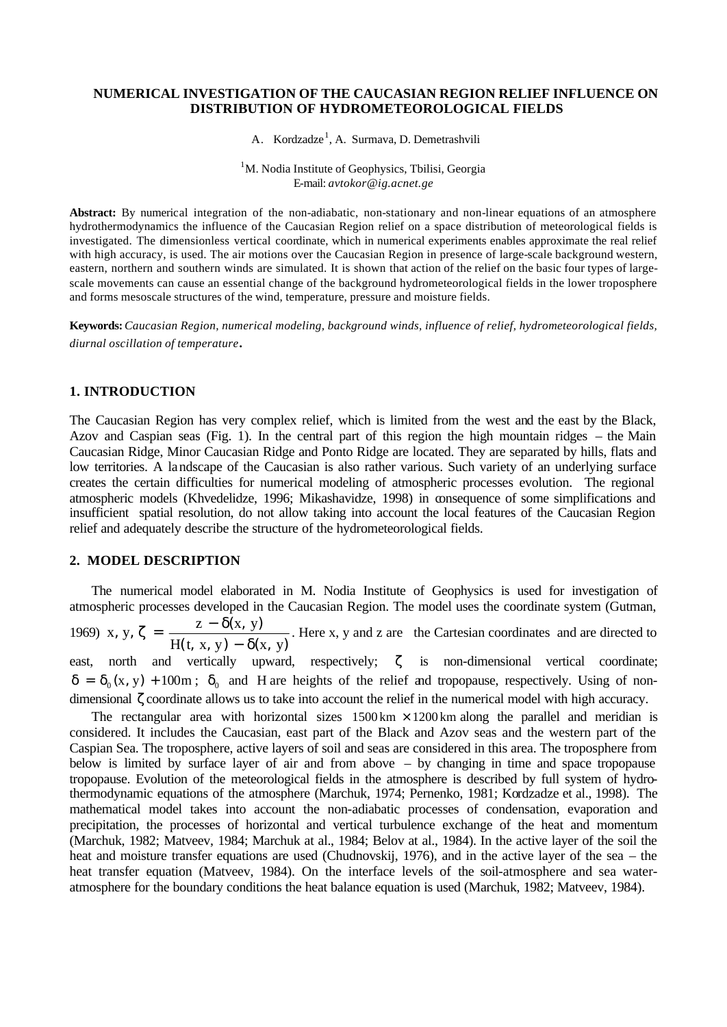### **NUMERICAL INVESTIGATION OF THE CAUCASIAN REGION RELIEF INFLUENCE ON DISTRIBUTION OF HYDROMETEOROLOGICAL FIELDS**

A. Kordzadze<sup>1</sup>, A. Surmava, D. Demetrashvili

<sup>1</sup>M. Nodia Institute of Geophysics, Tbilisi, Georgia E-mail: *avtokor@ig.acnet.ge*

**Abstract:** By numerical integration of the non-adiabatic, non-stationary and non-linear equations of an atmosphere hydrothermodynamics the influence of the Caucasian Region relief on a space distribution of meteorological fields is investigated. The dimensionless vertical coordinate, which in numerical experiments enables approximate the real relief with high accuracy, is used. The air motions over the Caucasian Region in presence of large-scale background western, eastern, northern and southern winds are simulated. It is shown that action of the relief on the basic four types of largescale movements can cause an essential change of the background hydrometeorological fields in the lower troposphere and forms mesoscale structures of the wind, temperature, pressure and moisture fields.

**Keywords:** *Caucasian Region, numerical modeling, background winds, influence of relief, hydrometeorological fields, diurnal oscillation of temperature*.

#### **1. INTRODUCTION**

The Caucasian Region has very complex relief, which is limited from the west and the east by the Black, Azov and Caspian seas (Fig. 1). In the central part of this region the high mountain ridges – the Main Caucasian Ridge, Minor Caucasian Ridge and Ponto Ridge are located. They are separated by hills, flats and low territories. A landscape of the Caucasian is also rather various. Such variety of an underlying surface creates the certain difficulties for numerical modeling of atmospheric processes evolution. The regional atmospheric models (Khvedelidze, 1996; Mikashavidze, 1998) in consequence of some simplifications and insufficient spatial resolution, do not allow taking into account the local features of the Caucasian Region relief and adequately describe the structure of the hydrometeorological fields.

# **2. MODEL DESCRIPTION**

The numerical model elaborated in M. Nodia Institute of Geophysics is used for investigation of atmospheric processes developed in the Caucasian Region. The model uses the coordinate system (Gutman,

1969)  $(t, x, y) - \delta(x, y)$ , y,  $\zeta = \frac{z - \delta(x, y)}{\delta(x, y)}$  $H(t, x, y) - \delta(x, y)$  $x, y, \zeta = \frac{z - \delta(x, y)}{z}$ − δ  $\zeta = \frac{z - \delta(x, y)}{\delta(x, y)}$ . Here x, y and z are the Cartesian coordinates and are directed to

east, north and vertically upward, respectively; ζ is non-dimensional vertical coordinate;  $\delta = \delta_0(x, y) + 100m$ ;  $\delta_0$  and H are heights of the relief and tropopause, respectively. Using of nondimensional ζ coordinate allows us to take into account the relief in the numerical model with high accuracy.

The rectangular area with horizontal sizes  $1500 \text{ km} \times 1200 \text{ km}$  along the parallel and meridian is considered. It includes the Caucasian, east part of the Black and Azov seas and the western part of the Caspian Sea. The troposphere, active layers of soil and seas are considered in this area. The troposphere from below is limited by surface layer of air and from above – by changing in time and space tropopause tropopause. Evolution of the meteorological fields in the atmosphere is described by full system of hydrothermodynamic equations of the atmosphere (Marchuk, 1974; Pernenko, 1981; Kordzadze et al., 1998). The mathematical model takes into account the non-adiabatic processes of condensation, evaporation and precipitation, the processes of horizontal and vertical turbulence exchange of the heat and momentum (Marchuk, 1982; Matveev, 1984; Marchuk at al., 1984; Belov at al., 1984). In the active layer of the soil the heat and moisture transfer equations are used (Chudnovskij, 1976), and in the active layer of the sea – the heat transfer equation (Matveev, 1984). On the interface levels of the soil-atmosphere and sea wateratmosphere for the boundary conditions the heat balance equation is used (Marchuk, 1982; Matveev, 1984).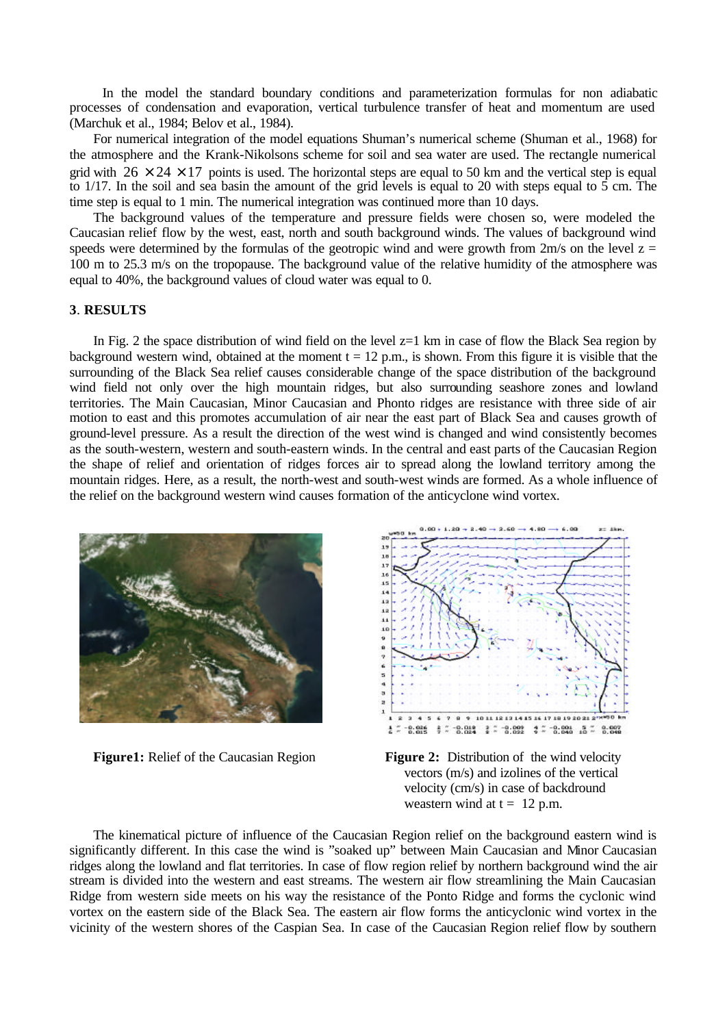In the model the standard boundary conditions and parameterization formulas for non adiabatic processes of condensation and evaporation, vertical turbulence transfer of heat and momentum are used (Marchuk et al., 1984; Belov et al., 1984).

For numerical integration of the model equations Shuman's numerical scheme (Shuman et al., 1968) for the atmosphere and the Krank-Nikolsons scheme for soil and sea water are used. The rectangle numerical grid with  $26 \times 24 \times 17$  points is used. The horizontal steps are equal to 50 km and the vertical step is equal to  $1/17$ . In the soil and sea basin the amount of the grid levels is equal to 20 with steps equal to  $\overline{5}$  cm. The time step is equal to 1 min. The numerical integration was continued more than 10 days.

The background values of the temperature and pressure fields were chosen so, were modeled the Caucasian relief flow by the west, east, north and south background winds. The values of background wind speeds were determined by the formulas of the geotropic wind and were growth from  $2m/s$  on the level  $z =$ 100 m to 25.3 m/s on the tropopause. The background value of the relative humidity of the atmosphere was equal to 40%, the background values of cloud water was equal to 0.

## **3**. **RESULTS**

In Fig. 2 the space distribution of wind field on the level z=1 km in case of flow the Black Sea region by background western wind, obtained at the moment  $t = 12$  p.m., is shown. From this figure it is visible that the surrounding of the Black Sea relief causes considerable change of the space distribution of the background wind field not only over the high mountain ridges, but also surrounding seashore zones and lowland territories. The Main Caucasian, Minor Caucasian and Phonto ridges are resistance with three side of air motion to east and this promotes accumulation of air near the east part of Black Sea and causes growth of ground-level pressure. As a result the direction of the west wind is changed and wind consistently becomes as the south-western, western and south-eastern winds. In the central and east parts of the Caucasian Region the shape of relief and orientation of ridges forces air to spread along the lowland territory among the mountain ridges. Here, as a result, the north-west and south-west winds are formed. As a whole influence of the relief on the background western wind causes formation of the anticyclone wind vortex.





**Figure1:** Relief of the Caucasian Region Figure 2: Distribution of the wind velocity vectors (m/s) and izolines of the vertical velocity (cm/s) in case of backdround weastern wind at  $t = 12$  p.m.

The kinematical picture of influence of the Caucasian Region relief on the background eastern wind is significantly different. In this case the wind is "soaked up" between Main Caucasian and Minor Caucasian ridges along the lowland and flat territories. In case of flow region relief by northern background wind the air stream is divided into the western and east streams. The western air flow streamlining the Main Caucasian Ridge from western side meets on his way the resistance of the Ponto Ridge and forms the cyclonic wind vortex on the eastern side of the Black Sea. The eastern air flow forms the anticyclonic wind vortex in the vicinity of the western shores of the Caspian Sea. In case of the Caucasian Region relief flow by southern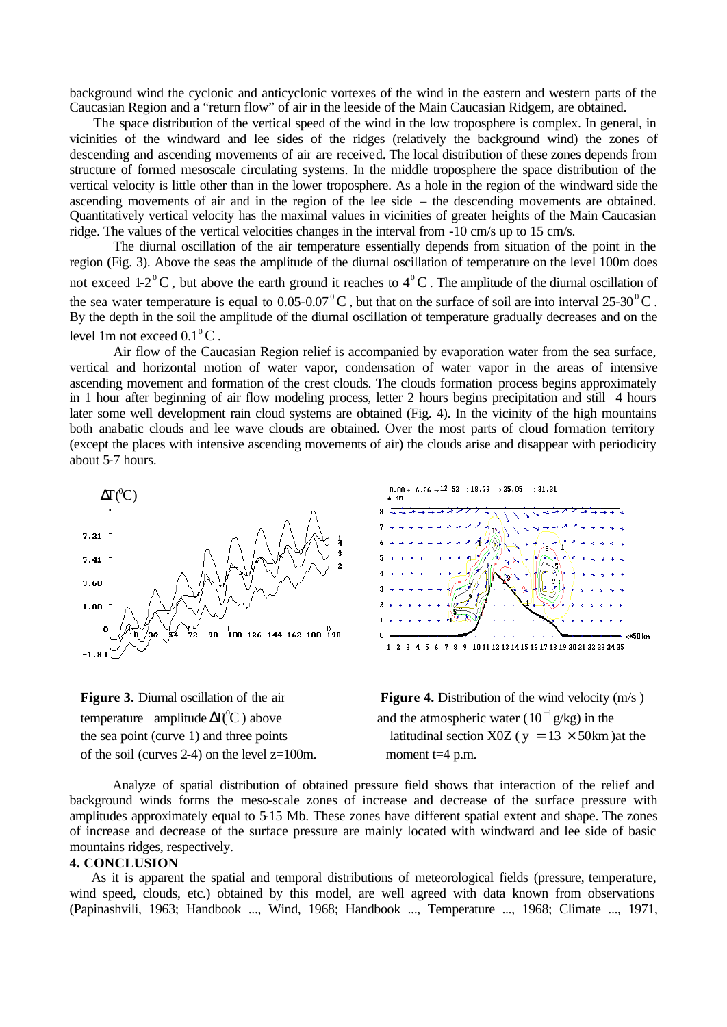background wind the cyclonic and anticyclonic vortexes of the wind in the eastern and western parts of the Caucasian Region and a "return flow" of air in the leeside of the Main Caucasian Ridgem, are obtained.

The space distribution of the vertical speed of the wind in the low troposphere is complex. In general, in vicinities of the windward and lee sides of the ridges (relatively the background wind) the zones of descending and ascending movements of air are received. The local distribution of these zones depends from structure of formed mesoscale circulating systems. In the middle troposphere the space distribution of the vertical velocity is little other than in the lower troposphere. As a hole in the region of the windward side the ascending movements of air and in the region of the lee side – the descending movements are obtained. Quantitatively vertical velocity has the maximal values in vicinities of greater heights of the Main Caucasian ridge. The values of the vertical velocities changes in the interval from -10 cm/s up to 15 cm/s.

The diurnal oscillation of the air temperature essentially depends from situation of the point in the region (Fig. 3). Above the seas the amplitude of the diurnal oscillation of temperature on the level 100m does not exceed 1-2<sup>°</sup>C, but above the earth ground it reaches to  $4^{\circ}$ C. The amplitude of the diurnal oscillation of the sea water temperature is equal to  $0.05$ - $0.07^{\circ}$ C, but that on the surface of soil are into interval 25-30<sup>°</sup>C. By the depth in the soil the amplitude of the diurnal oscillation of temperature gradually decreases and on the level 1m not exceed  $0.1^{\circ}$ C.

Air flow of the Caucasian Region relief is accompanied by evaporation water from the sea surface, vertical and horizontal motion of water vapor, condensation of water vapor in the areas of intensive ascending movement and formation of the crest clouds. The clouds formation process begins approximately in 1 hour after beginning of air flow modeling process, letter 2 hours begins precipitation and still 4 hours later some well development rain cloud systems are obtained (Fig. 4). In the vicinity of the high mountains both anabatic clouds and lee wave clouds are obtained. Over the most parts of cloud formation territory (except the places with intensive ascending movements of air) the clouds arise and disappear with periodicity about 5-7 hours.



temperature amplitude  $\Delta T$ <sup>( $\degree$ </sup>C) above of the soil (curves 2-4) on the level  $z=100$ m. moment  $t=4$  p.m.



**Figure 3.** Diurnal oscillation of the air **Figure 4.** Distribution of the wind velocity (m/s)  $\Delta T({}^0C)$  above and the atmospheric water (10<sup>-1</sup> g/kg) in the the sea point (curve 1) and three points latitudinal section X0Z ( $y = 13 \times 50$  km )at the

Analyze of spatial distribution of obtained pressure field shows that interaction of the relief and background winds forms the meso-scale zones of increase and decrease of the surface pressure with amplitudes approximately equal to 5-15 Mb. These zones have different spatial extent and shape. The zones of increase and decrease of the surface pressure are mainly located with windward and lee side of basic mountains ridges, respectively.

### **4. CONCLUSION**

As it is apparent the spatial and temporal distributions of meteorological fields (pressure, temperature, wind speed, clouds, etc.) obtained by this model, are well agreed with data known from observations (Papinashvili, 1963; Handbook ..., Wind, 1968; Handbook ..., Temperature ..., 1968; Climate ..., 1971,